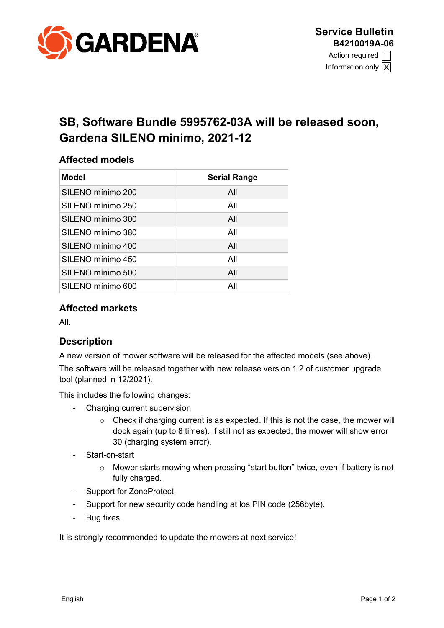

Information only  $|X|$ 

# **SB, Software Bundle 5995762-03A will be released soon, Gardena SILENO minimo, 2021-12**

#### **Affected models**

| Model             | <b>Serial Range</b> |  |
|-------------------|---------------------|--|
| SILENO mínimo 200 | All                 |  |
| SILENO mínimo 250 | All                 |  |
| SILENO mínimo 300 | All                 |  |
| SILENO mínimo 380 | All                 |  |
| SILENO mínimo 400 | All                 |  |
| SILENO mínimo 450 | All                 |  |
| SILENO mínimo 500 | All                 |  |
| SILENO mínimo 600 | All                 |  |

#### **Affected markets**

All.

## **Description**

A new version of mower software will be released for the affected models (see above). The software will be released together with new release version 1.2 of customer upgrade tool (planned in 12/2021).

This includes the following changes:

- Charging current supervision
	- $\circ$  Check if charging current is as expected. If this is not the case, the mower will dock again (up to 8 times). If still not as expected, the mower will show error 30 (charging system error).
- Start-on-start
	- o Mower starts mowing when pressing "start button" twice, even if battery is not fully charged.
- Support for ZoneProtect.
- Support for new security code handling at los PIN code (256byte).
- Bug fixes.

It is strongly recommended to update the mowers at next service!